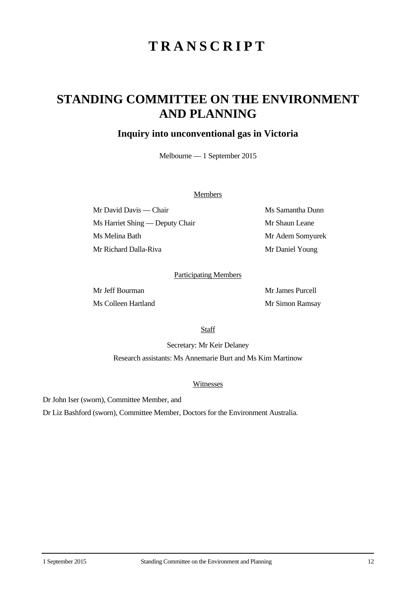# **TRANSCRIPT**

## **STANDING COMMITTEE ON THE ENVIRONMENT AND PLANNING**

### **Inquiry into unconventional gas in Victoria**

Melbourne — 1 September 2015

#### **Members**

Mr David Davis — Chair Ms Samantha Dunn Ms Harriet Shing — Deputy Chair Mr Shaun Leane Ms Melina Bath Mr Adem Somyurek Mr Richard Dalla-Riva Mr Daniel Young

#### Participating Members

Mr Jeff Bourman Mr James Purcell Ms Colleen Hartland Mr Simon Ramsay

**Staff** 

Secretary: Mr Keir Delaney Research assistants: Ms Annemarie Burt and Ms Kim Martinow

#### Witnesses

Dr John Iser (sworn), Committee Member, and

Dr Liz Bashford (sworn), Committee Member, Doctors for the Environment Australia.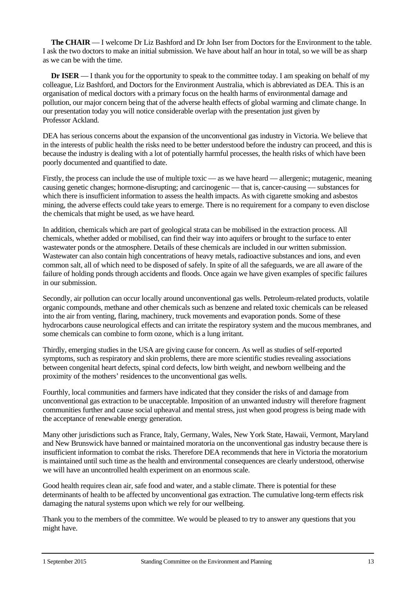**The CHAIR** — I welcome Dr Liz Bashford and Dr John Iser from Doctors for the Environment to the table. I ask the two doctors to make an initial submission. We have about half an hour in total, so we will be as sharp as we can be with the time.

**Dr ISER** — I thank you for the opportunity to speak to the committee today. I am speaking on behalf of my colleague, Liz Bashford, and Doctors for the Environment Australia, which is abbreviated as DEA. This is an organisation of medical doctors with a primary focus on the health harms of environmental damage and pollution, our major concern being that of the adverse health effects of global warming and climate change. In our presentation today you will notice considerable overlap with the presentation just given by Professor Ackland.

DEA has serious concerns about the expansion of the unconventional gas industry in Victoria. We believe that in the interests of public health the risks need to be better understood before the industry can proceed, and this is because the industry is dealing with a lot of potentially harmful processes, the health risks of which have been poorly documented and quantified to date.

Firstly, the process can include the use of multiple toxic — as we have heard — allergenic; mutagenic, meaning causing genetic changes; hormone-disrupting; and carcinogenic — that is, cancer-causing — substances for which there is insufficient information to assess the health impacts. As with cigarette smoking and asbestos mining, the adverse effects could take years to emerge. There is no requirement for a company to even disclose the chemicals that might be used, as we have heard.

In addition, chemicals which are part of geological strata can be mobilised in the extraction process. All chemicals, whether added or mobilised, can find their way into aquifers or brought to the surface to enter wastewater ponds or the atmosphere. Details of these chemicals are included in our written submission. Wastewater can also contain high concentrations of heavy metals, radioactive substances and ions, and even common salt, all of which need to be disposed of safely. In spite of all the safeguards, we are all aware of the failure of holding ponds through accidents and floods. Once again we have given examples of specific failures in our submission.

Secondly, air pollution can occur locally around unconventional gas wells. Petroleum-related products, volatile organic compounds, methane and other chemicals such as benzene and related toxic chemicals can be released into the air from venting, flaring, machinery, truck movements and evaporation ponds. Some of these hydrocarbons cause neurological effects and can irritate the respiratory system and the mucous membranes, and some chemicals can combine to form ozone, which is a lung irritant.

Thirdly, emerging studies in the USA are giving cause for concern. As well as studies of self-reported symptoms, such as respiratory and skin problems, there are more scientific studies revealing associations between congenital heart defects, spinal cord defects, low birth weight, and newborn wellbeing and the proximity of the mothers' residences to the unconventional gas wells.

Fourthly, local communities and farmers have indicated that they consider the risks of and damage from unconventional gas extraction to be unacceptable. Imposition of an unwanted industry will therefore fragment communities further and cause social upheaval and mental stress, just when good progress is being made with the acceptance of renewable energy generation.

Many other jurisdictions such as France, Italy, Germany, Wales, New York State, Hawaii, Vermont, Maryland and New Brunswick have banned or maintained moratoria on the unconventional gas industry because there is insufficient information to combat the risks. Therefore DEA recommends that here in Victoria the moratorium is maintained until such time as the health and environmental consequences are clearly understood, otherwise we will have an uncontrolled health experiment on an enormous scale.

Good health requires clean air, safe food and water, and a stable climate. There is potential for these determinants of health to be affected by unconventional gas extraction. The cumulative long-term effects risk damaging the natural systems upon which we rely for our wellbeing.

Thank you to the members of the committee. We would be pleased to try to answer any questions that you might have.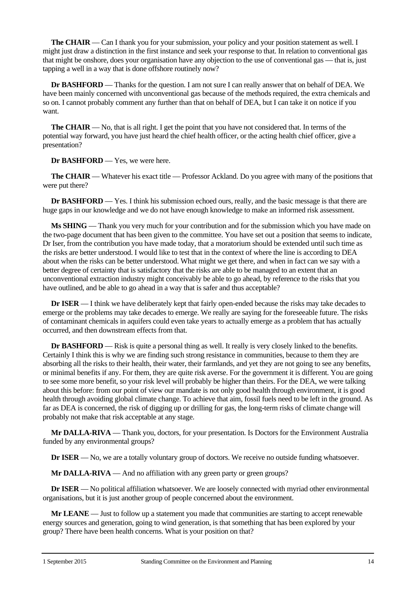**The CHAIR** — Can I thank you for your submission, your policy and your position statement as well. I might just draw a distinction in the first instance and seek your response to that. In relation to conventional gas that might be onshore, does your organisation have any objection to the use of conventional gas — that is, just tapping a well in a way that is done offshore routinely now?

**Dr BASHFORD** — Thanks for the question. I am not sure I can really answer that on behalf of DEA. We have been mainly concerned with unconventional gas because of the methods required, the extra chemicals and so on. I cannot probably comment any further than that on behalf of DEA, but I can take it on notice if you want.

**The CHAIR** — No, that is all right. I get the point that you have not considered that. In terms of the potential way forward, you have just heard the chief health officer, or the acting health chief officer, give a presentation?

**Dr BASHFORD** — Yes, we were here.

**The CHAIR** — Whatever his exact title — Professor Ackland. Do you agree with many of the positions that were put there?

**Dr BASHFORD** — Yes. I think his submission echoed ours, really, and the basic message is that there are huge gaps in our knowledge and we do not have enough knowledge to make an informed risk assessment.

**Ms SHING** — Thank you very much for your contribution and for the submission which you have made on the two-page document that has been given to the committee. You have set out a position that seems to indicate, Dr Iser, from the contribution you have made today, that a moratorium should be extended until such time as the risks are better understood. I would like to test that in the context of where the line is according to DEA about when the risks can be better understood. What might we get there, and when in fact can we say with a better degree of certainty that is satisfactory that the risks are able to be managed to an extent that an unconventional extraction industry might conceivably be able to go ahead, by reference to the risks that you have outlined, and be able to go ahead in a way that is safer and thus acceptable?

**Dr ISER** — I think we have deliberately kept that fairly open-ended because the risks may take decades to emerge or the problems may take decades to emerge. We really are saying for the foreseeable future. The risks of contaminant chemicals in aquifers could even take years to actually emerge as a problem that has actually occurred, and then downstream effects from that.

**Dr BASHFORD** — Risk is quite a personal thing as well. It really is very closely linked to the benefits. Certainly I think this is why we are finding such strong resistance in communities, because to them they are absorbing all the risks to their health, their water, their farmlands, and yet they are not going to see any benefits, or minimal benefits if any. For them, they are quite risk averse. For the government it is different. You are going to see some more benefit, so your risk level will probably be higher than theirs. For the DEA, we were talking about this before: from our point of view our mandate is not only good health through environment, it is good health through avoiding global climate change. To achieve that aim, fossil fuels need to be left in the ground. As far as DEA is concerned, the risk of digging up or drilling for gas, the long-term risks of climate change will probably not make that risk acceptable at any stage.

**Mr DALLA-RIVA** — Thank you, doctors, for your presentation. Is Doctors for the Environment Australia funded by any environmental groups?

**Dr <b>ISER** — No, we are a totally voluntary group of doctors. We receive no outside funding whatsoever.

**Mr DALLA-RIVA** — And no affiliation with any green party or green groups?

**Dr ISER** — No political affiliation whatsoever. We are loosely connected with myriad other environmental organisations, but it is just another group of people concerned about the environment.

**Mr LEANE** — Just to follow up a statement you made that communities are starting to accept renewable energy sources and generation, going to wind generation, is that something that has been explored by your group? There have been health concerns. What is your position on that?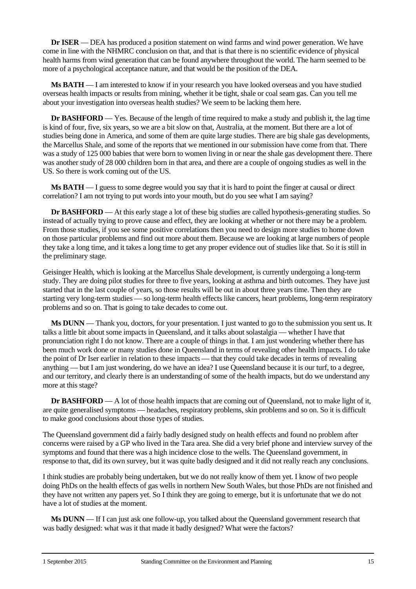**Dr ISER** — DEA has produced a position statement on wind farms and wind power generation. We have come in line with the NHMRC conclusion on that, and that is that there is no scientific evidence of physical health harms from wind generation that can be found anywhere throughout the world. The harm seemed to be more of a psychological acceptance nature, and that would be the position of the DEA.

**Ms BATH** — I am interested to know if in your research you have looked overseas and you have studied overseas health impacts or results from mining, whether it be tight, shale or coal seam gas. Can you tell me about your investigation into overseas health studies? We seem to be lacking them here.

**Dr BASHFORD** — Yes. Because of the length of time required to make a study and publish it, the lag time is kind of four, five, six years, so we are a bit slow on that, Australia, at the moment. But there are a lot of studies being done in America, and some of them are quite large studies. There are big shale gas developments, the Marcellus Shale, and some of the reports that we mentioned in our submission have come from that. There was a study of 125 000 babies that were born to women living in or near the shale gas development there. There was another study of 28 000 children born in that area, and there are a couple of ongoing studies as well in the US. So there is work coming out of the US.

**Ms BATH** — I guess to some degree would you say that it is hard to point the finger at causal or direct correlation? I am not trying to put words into your mouth, but do you see what I am saying?

**Dr BASHFORD** — At this early stage a lot of these big studies are called hypothesis-generating studies. So instead of actually trying to prove cause and effect, they are looking at whether or not there may be a problem. From those studies, if you see some positive correlations then you need to design more studies to home down on those particular problems and find out more about them. Because we are looking at large numbers of people they take a long time, and it takes a long time to get any proper evidence out of studies like that. So it is still in the preliminary stage.

Geisinger Health, which is looking at the Marcellus Shale development, is currently undergoing a long-term study. They are doing pilot studies for three to five years, looking at asthma and birth outcomes. They have just started that in the last couple of years, so those results will be out in about three years time. Then they are starting very long-term studies — so long-term health effects like cancers, heart problems, long-term respiratory problems and so on. That is going to take decades to come out.

**Ms DUNN** — Thank you, doctors, for your presentation. I just wanted to go to the submission you sent us. It talks a little bit about some impacts in Queensland, and it talks about solastalgia — whether I have that pronunciation right I do not know. There are a couple of things in that. I am just wondering whether there has been much work done or many studies done in Queensland in terms of revealing other health impacts. I do take the point of Dr Iser earlier in relation to these impacts — that they could take decades in terms of revealing anything — but I am just wondering, do we have an idea? I use Queensland because it is our turf, to a degree, and our territory, and clearly there is an understanding of some of the health impacts, but do we understand any more at this stage?

**Dr BASHFORD** — A lot of those health impacts that are coming out of Queensland, not to make light of it, are quite generalised symptoms — headaches, respiratory problems, skin problems and so on. So it is difficult to make good conclusions about those types of studies.

The Queensland government did a fairly badly designed study on health effects and found no problem after concerns were raised by a GP who lived in the Tara area. She did a very brief phone and interview survey of the symptoms and found that there was a high incidence close to the wells. The Queensland government, in response to that, did its own survey, but it was quite badly designed and it did not really reach any conclusions.

I think studies are probably being undertaken, but we do not really know of them yet. I know of two people doing PhDs on the health effects of gas wells in northern New South Wales, but those PhDs are not finished and they have not written any papers yet. So I think they are going to emerge, but it is unfortunate that we do not have a lot of studies at the moment.

**Ms DUNN** — If I can just ask one follow-up, you talked about the Queensland government research that was badly designed: what was it that made it badly designed? What were the factors?